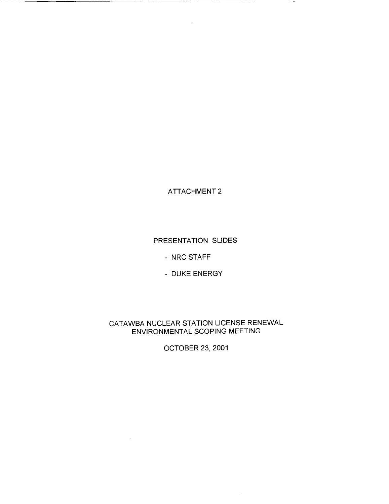ATTACHMENT 2

 $\sim 10^7$ 

 $\overline{\phantom{a}}$ 

PRESENTATION SLIDES

- NRC STAFF

**-** DUKE ENERGY

CATAWBA NUCLEAR STATION LICENSE RENEWAL ENVIRONMENTAL SCOPING MEETING

OCTOBER 23, 2001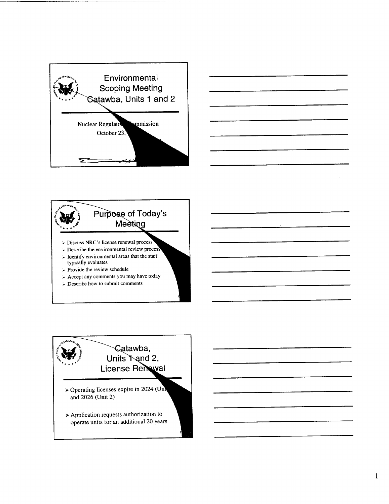





 $\geq$  Describe how to submit comments



k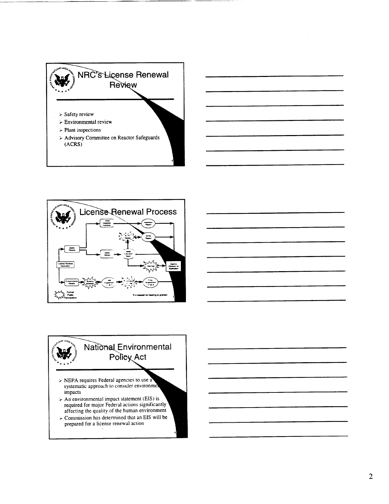



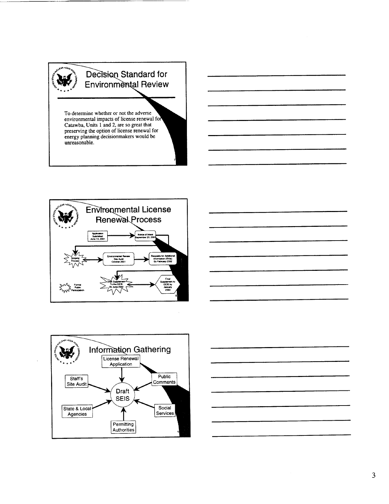







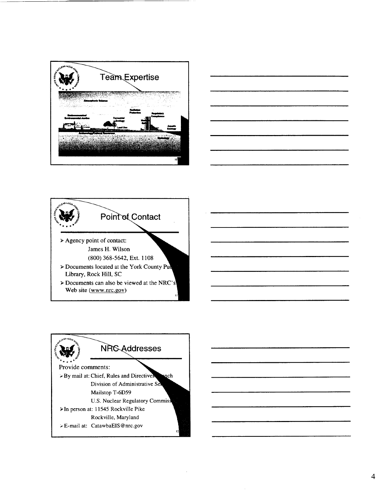





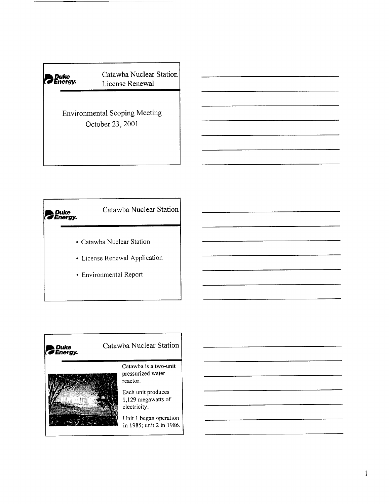



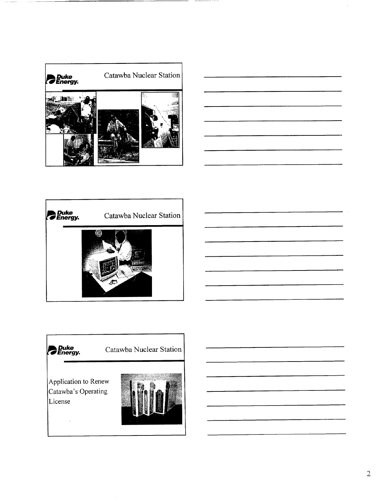





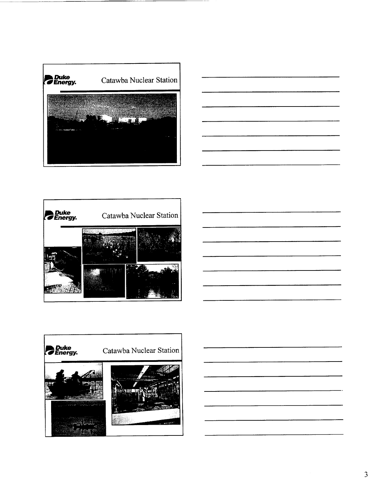